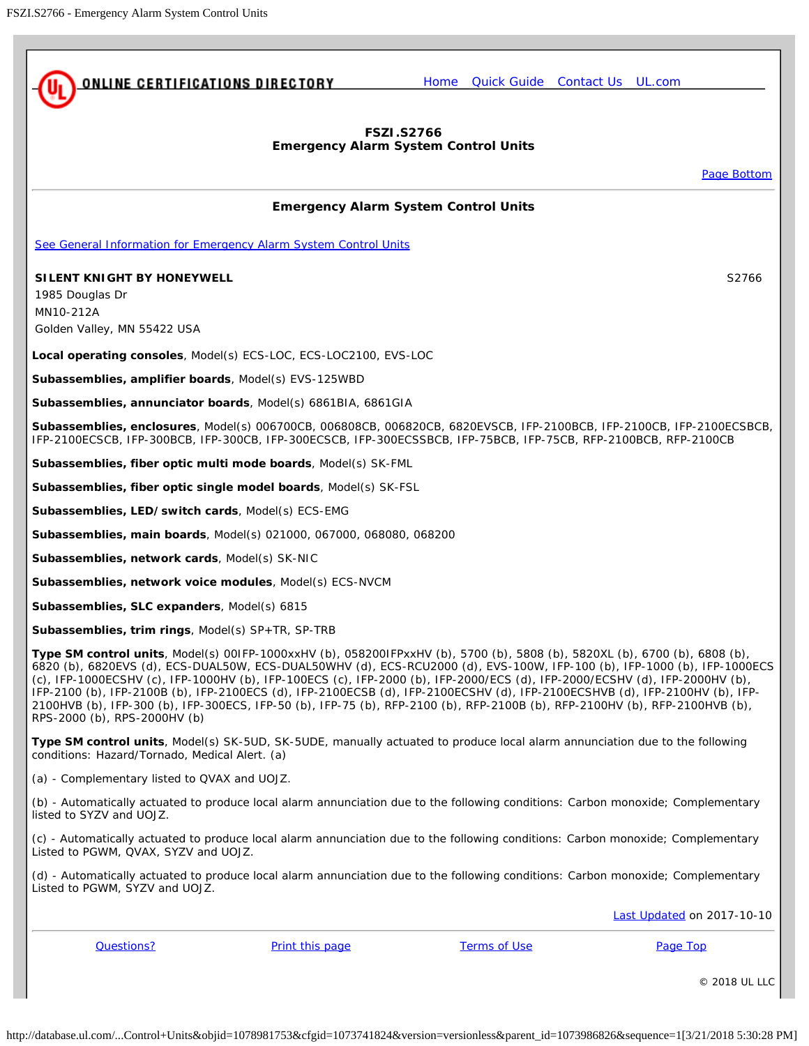<span id="page-0-1"></span><span id="page-0-0"></span>